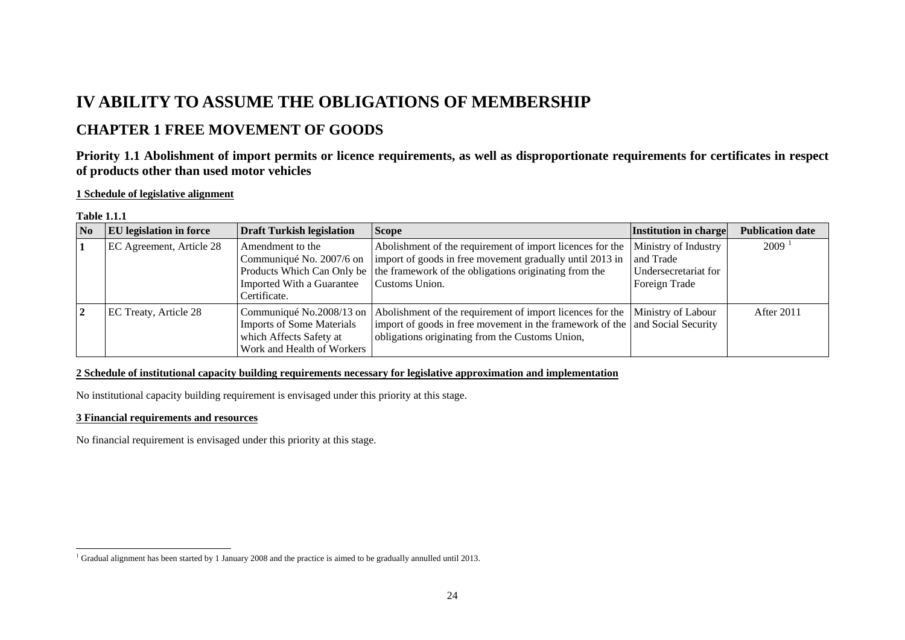# **IV ABILITY TO ASSUME THE OBLIGATIONS OF MEMBERSHIP**

# **CHAPTER 1 FREE MOVEMENT OF GOODS**

# **Priority 1.1 Abolishment of import permits or licence requirements, as well as disproportionate requirements for certificates in respect of products other than used motor vehicles**

### **1 Schedule of legislative alignment**

#### **Table 1.1.1**

| No | <b>EU</b> legislation in force | <b>Draft Turkish legislation</b>                                                                                      | <b>Scope</b>                                                                                                                                                                                                                | Institution in charge                                                      | <b>Publication date</b> |
|----|--------------------------------|-----------------------------------------------------------------------------------------------------------------------|-----------------------------------------------------------------------------------------------------------------------------------------------------------------------------------------------------------------------------|----------------------------------------------------------------------------|-------------------------|
|    | EC Agreement, Article 28       | Amendment to the<br>Communiqué No. 2007/6 on<br>Imported With a Guarantee<br>Certificate.                             | Abolishment of the requirement of import licences for the<br>import of goods in free movement gradually until 2013 in<br>Products Which Can Only be the framework of the obligations originating from the<br>Customs Union. | Ministry of Industry<br>and Trade<br>Undersecretariat for<br>Foreign Trade | $2009$ <sup>1</sup>     |
|    | EC Treaty, Article 28          | Communiqué No.2008/13 on<br><b>Imports of Some Materials</b><br>which Affects Safety at<br>Work and Health of Workers | Abolishment of the requirement of import licences for the  Ministry of Labour<br>import of goods in free movement in the framework of the and Social Security<br>obligations originating from the Customs Union,            |                                                                            | After 2011              |

### **2 Schedule of institutional capacity building requirements necessary for legislative approximation and implementation**

No institutional capacity building requirement is envisaged under this priority at this stage.

#### **3 Financial requirements and resources**

No financial requirement is envisaged under this priority at this stage.

<span id="page-0-0"></span><sup>&</sup>lt;sup>1</sup> Gradual alignment has been started by 1 January 2008 and the practice is aimed to be gradually annulled until 2013.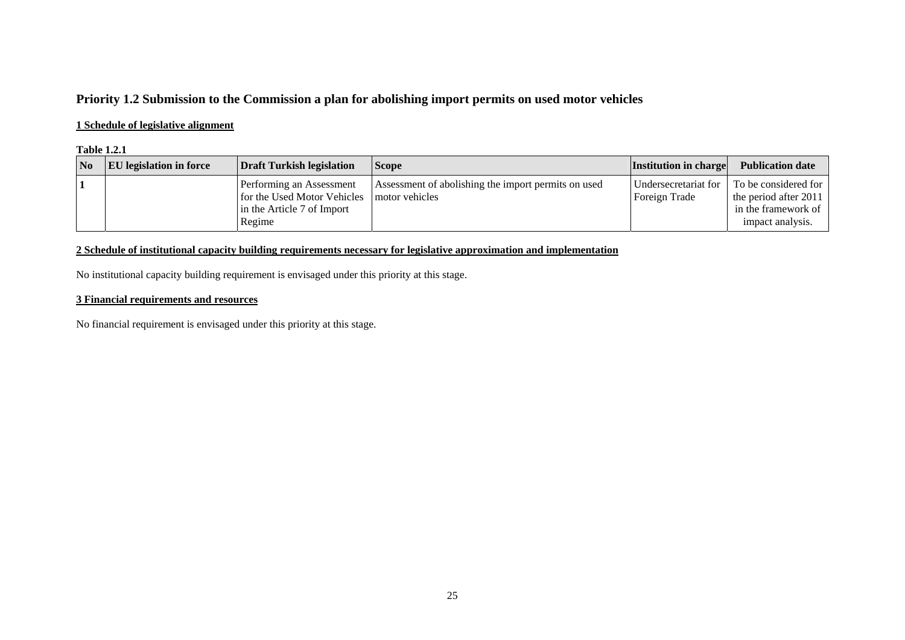# **Priority 1.2 Submission to the Commission a plan for abolishing import permits on used motor vehicles**

### **1 Schedule of legislative alignment**

#### **Table 1.2.1**

| No | <b>EU</b> legislation in force | Draft Turkish legislation                                                                       | <b>Scope</b>                                                          | <b>Institution in charge</b>          | <b>Publication date</b>                                                                  |
|----|--------------------------------|-------------------------------------------------------------------------------------------------|-----------------------------------------------------------------------|---------------------------------------|------------------------------------------------------------------------------------------|
|    |                                | Performing an Assessment<br>for the Used Motor Vehicles<br>in the Article 7 of Import<br>Regime | Assessment of abolishing the import permits on used<br>motor vehicles | Undersecretariat for<br>Foreign Trade | To be considered for<br>the period after 2011<br>in the framework of<br>impact analysis. |

### **2 Schedule of institutional capacity building requirements necessary for legislative approximation and implementation**

No institutional capacity building requirement is envisaged under this priority at this stage.

### **3 Financial requirements and resources**

No financial requirement is envisaged under this priority at this stage.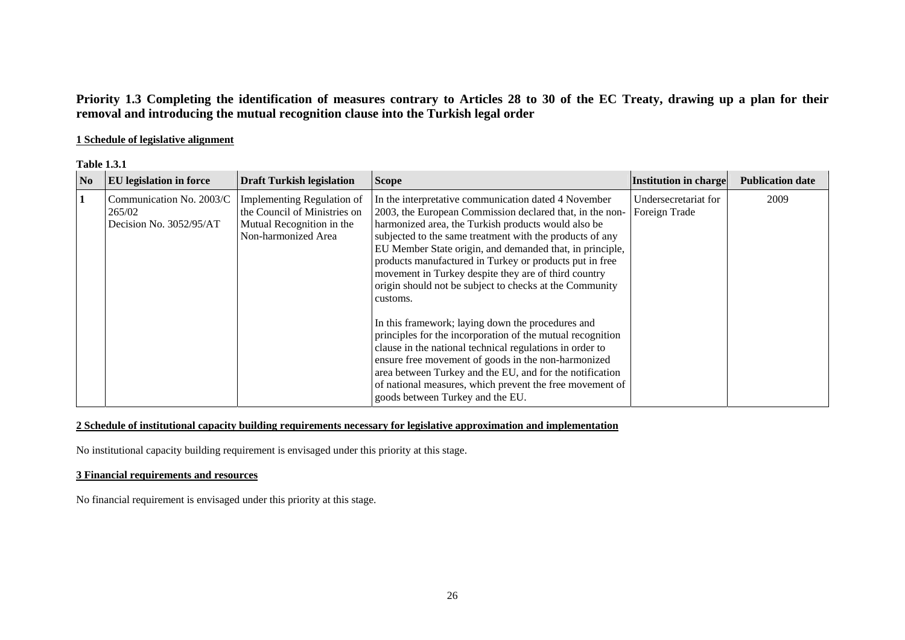# **Priority 1.3 Completing the identification of measures contrary to Articles 28 to 30 of the EC Treaty, drawing up a plan for their removal and introducing the mutual recognition clause into the Turkish legal order**

### **1 Schedule of legislative alignment**

| N <sub>0</sub> | <b>EU</b> legislation in force                                | <b>Draft Turkish legislation</b>                                                                               | <b>Scope</b>                                                                                                                                                                                                                                                                                                                                                                                                                                                                                                                                                                                                                                                                                                                                                                                                                                                                                | <b>Institution in charge</b>          | <b>Publication date</b> |
|----------------|---------------------------------------------------------------|----------------------------------------------------------------------------------------------------------------|---------------------------------------------------------------------------------------------------------------------------------------------------------------------------------------------------------------------------------------------------------------------------------------------------------------------------------------------------------------------------------------------------------------------------------------------------------------------------------------------------------------------------------------------------------------------------------------------------------------------------------------------------------------------------------------------------------------------------------------------------------------------------------------------------------------------------------------------------------------------------------------------|---------------------------------------|-------------------------|
|                | Communication No. 2003/C<br>265/02<br>Decision No. 3052/95/AT | Implementing Regulation of<br>the Council of Ministries on<br>Mutual Recognition in the<br>Non-harmonized Area | In the interpretative communication dated 4 November<br>2003, the European Commission declared that, in the non-<br>harmonized area, the Turkish products would also be<br>subjected to the same treatment with the products of any<br>EU Member State origin, and demanded that, in principle,<br>products manufactured in Turkey or products put in free<br>movement in Turkey despite they are of third country<br>origin should not be subject to checks at the Community<br>customs.<br>In this framework; laying down the procedures and<br>principles for the incorporation of the mutual recognition<br>clause in the national technical regulations in order to<br>ensure free movement of goods in the non-harmonized<br>area between Turkey and the EU, and for the notification<br>of national measures, which prevent the free movement of<br>goods between Turkey and the EU. | Undersecretariat for<br>Foreign Trade | 2009                    |

### **2 Schedule of institutional capacity building requirements necessary for legislative approximation and implementation**

No institutional capacity building requirement is envisaged under this priority at this stage.

# **3 Financial requirements and resources**

No financial requirement is envisaged under this priority at this stage.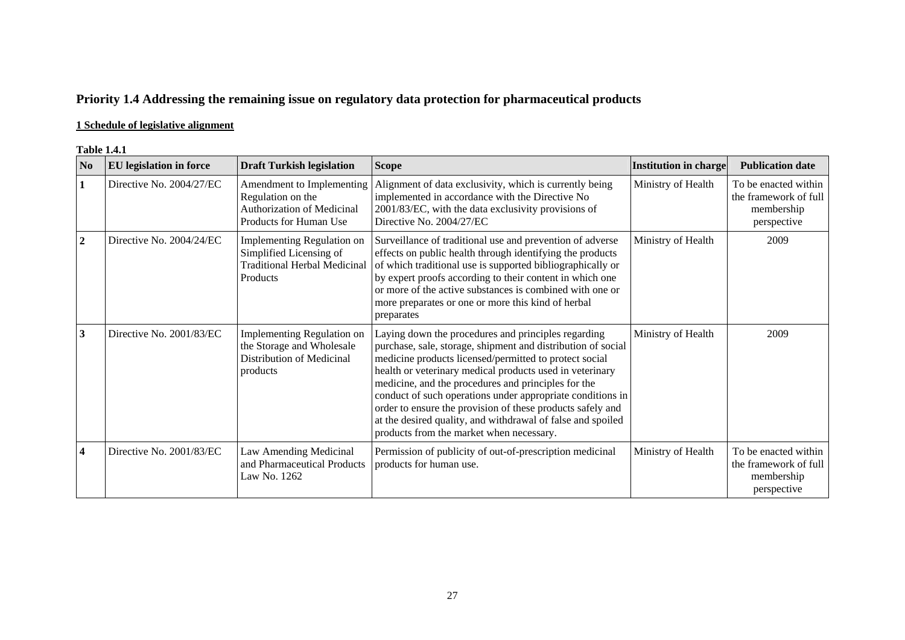# **Priority 1.4 Addressing the remaining issue on regulatory data protection for pharmaceutical products**

# **1 Schedule of legislative alignment**

#### **Table 1.4.1**

| N <sub>0</sub>          | <b>EU</b> legislation in force | <b>Draft Turkish legislation</b>                                                                         | <b>Scope</b>                                                                                                                                                                                                                                                                                                                                                                                                                                                                                                                            | <b>Institution in charge</b> | <b>Publication date</b>                                                    |
|-------------------------|--------------------------------|----------------------------------------------------------------------------------------------------------|-----------------------------------------------------------------------------------------------------------------------------------------------------------------------------------------------------------------------------------------------------------------------------------------------------------------------------------------------------------------------------------------------------------------------------------------------------------------------------------------------------------------------------------------|------------------------------|----------------------------------------------------------------------------|
| $\mathbf{1}$            | Directive No. 2004/27/EC       | Amendment to Implementing<br>Regulation on the<br>Authorization of Medicinal<br>Products for Human Use   | Alignment of data exclusivity, which is currently being<br>implemented in accordance with the Directive No<br>2001/83/EC, with the data exclusivity provisions of<br>Directive No. 2004/27/EC                                                                                                                                                                                                                                                                                                                                           | Ministry of Health           | To be enacted within<br>the framework of full<br>membership<br>perspective |
| $\overline{2}$          | Directive No. 2004/24/EC       | Implementing Regulation on<br>Simplified Licensing of<br><b>Traditional Herbal Medicinal</b><br>Products | Surveillance of traditional use and prevention of adverse<br>effects on public health through identifying the products<br>of which traditional use is supported bibliographically or<br>by expert proofs according to their content in which one<br>or more of the active substances is combined with one or<br>more preparates or one or more this kind of herbal<br>preparates                                                                                                                                                        | Ministry of Health           | 2009                                                                       |
| 3                       | Directive No. 2001/83/EC       | <b>Implementing Regulation on</b><br>the Storage and Wholesale<br>Distribution of Medicinal<br>products  | Laying down the procedures and principles regarding<br>purchase, sale, storage, shipment and distribution of social<br>medicine products licensed/permitted to protect social<br>health or veterinary medical products used in veterinary<br>medicine, and the procedures and principles for the<br>conduct of such operations under appropriate conditions in<br>order to ensure the provision of these products safely and<br>at the desired quality, and withdrawal of false and spoiled<br>products from the market when necessary. | Ministry of Health           | 2009                                                                       |
| $\overline{\mathbf{4}}$ | Directive No. 2001/83/EC       | Law Amending Medicinal<br>and Pharmaceutical Products<br>Law No. 1262                                    | Permission of publicity of out-of-prescription medicinal<br>products for human use.                                                                                                                                                                                                                                                                                                                                                                                                                                                     | Ministry of Health           | To be enacted within<br>the framework of full<br>membership<br>perspective |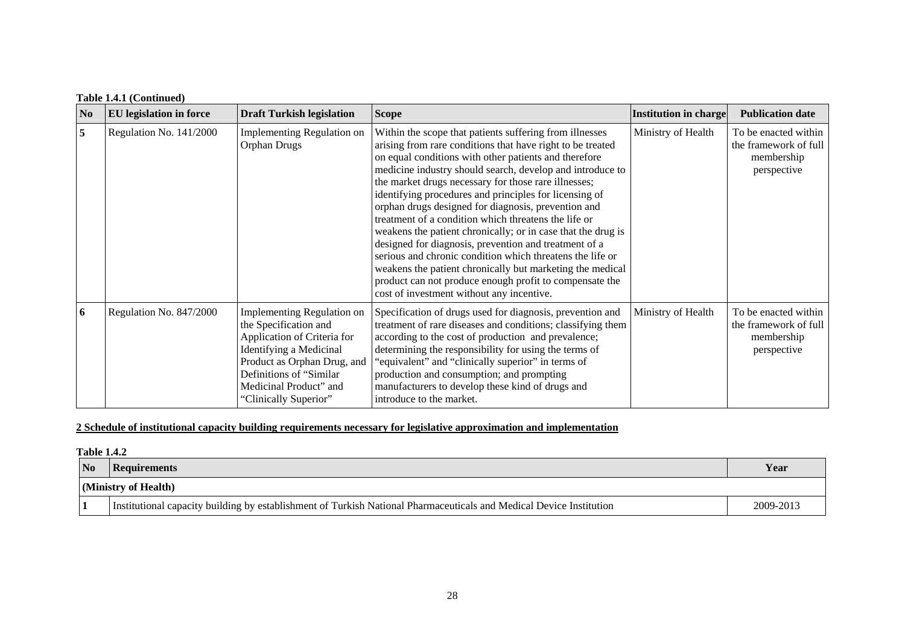# **Table 1.4.1 (Continued)**

| N <sub>0</sub> | <b>EU</b> legislation in force | <b>Draft Turkish legislation</b>                                                                                                                                                                                                  | <b>Scope</b>                                                                                                                                                                                                                                                                                                                                                                                                                                                                                                                                                                                                                                                                                                                                                                                                                            | <b>Institution in charge</b> | <b>Publication date</b>                                                    |
|----------------|--------------------------------|-----------------------------------------------------------------------------------------------------------------------------------------------------------------------------------------------------------------------------------|-----------------------------------------------------------------------------------------------------------------------------------------------------------------------------------------------------------------------------------------------------------------------------------------------------------------------------------------------------------------------------------------------------------------------------------------------------------------------------------------------------------------------------------------------------------------------------------------------------------------------------------------------------------------------------------------------------------------------------------------------------------------------------------------------------------------------------------------|------------------------------|----------------------------------------------------------------------------|
| 5              | Regulation No. 141/2000        | <b>Implementing Regulation on</b><br>Orphan Drugs                                                                                                                                                                                 | Within the scope that patients suffering from illnesses<br>arising from rare conditions that have right to be treated<br>on equal conditions with other patients and therefore<br>medicine industry should search, develop and introduce to<br>the market drugs necessary for those rare illnesses;<br>identifying procedures and principles for licensing of<br>orphan drugs designed for diagnosis, prevention and<br>treatment of a condition which threatens the life or<br>weakens the patient chronically; or in case that the drug is<br>designed for diagnosis, prevention and treatment of a<br>serious and chronic condition which threatens the life or<br>weakens the patient chronically but marketing the medical<br>product can not produce enough profit to compensate the<br>cost of investment without any incentive. | Ministry of Health           | To be enacted within<br>the framework of full<br>membership<br>perspective |
| 6              | Regulation No. 847/2000        | <b>Implementing Regulation on</b><br>the Specification and<br>Application of Criteria for<br>Identifying a Medicinal<br>Product as Orphan Drug, and<br>Definitions of "Similar<br>Medicinal Product" and<br>"Clinically Superior" | Specification of drugs used for diagnosis, prevention and<br>treatment of rare diseases and conditions; classifying them<br>according to the cost of production and prevalence;<br>determining the responsibility for using the terms of<br>"equivalent" and "clinically superior" in terms of<br>production and consumption; and prompting<br>manufacturers to develop these kind of drugs and<br>introduce to the market.                                                                                                                                                                                                                                                                                                                                                                                                             | Ministry of Health           | To be enacted within<br>the framework of full<br>membership<br>perspective |

## **2 Schedule of institutional capacity building requirements necessary for legislative approximation and implementation**

#### **Table 1.4.2**

| No | <b>Requirements</b>                                                                                                 | Year      |
|----|---------------------------------------------------------------------------------------------------------------------|-----------|
|    | $\vert$ (Ministry of Health)                                                                                        |           |
|    | Institutional capacity building by establishment of Turkish National Pharmaceuticals and Medical Device Institution | 2009-2013 |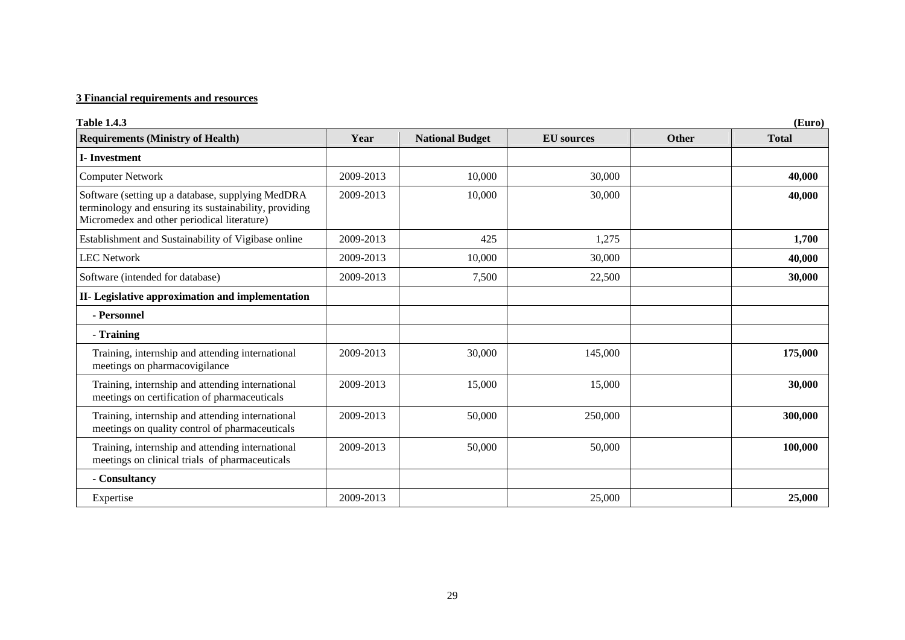### **3 Financial requirements and resources**

| <b>Table 1.4.3</b>                                                                                                                                         |           |                        |                   |              | (Euro)       |
|------------------------------------------------------------------------------------------------------------------------------------------------------------|-----------|------------------------|-------------------|--------------|--------------|
| <b>Requirements (Ministry of Health)</b>                                                                                                                   | Year      | <b>National Budget</b> | <b>EU</b> sources | <b>Other</b> | <b>Total</b> |
| <b>I-Investment</b>                                                                                                                                        |           |                        |                   |              |              |
| <b>Computer Network</b>                                                                                                                                    | 2009-2013 | 10,000                 | 30,000            |              | 40,000       |
| Software (setting up a database, supplying MedDRA<br>terminology and ensuring its sustainability, providing<br>Micromedex and other periodical literature) | 2009-2013 | 10,000                 | 30,000            |              | 40,000       |
| Establishment and Sustainability of Vigibase online                                                                                                        | 2009-2013 | 425                    | 1,275             |              | 1,700        |
| <b>LEC Network</b>                                                                                                                                         | 2009-2013 | 10,000                 | 30,000            |              | 40,000       |
| Software (intended for database)                                                                                                                           | 2009-2013 | 7,500                  | 22,500            |              | 30,000       |
| II- Legislative approximation and implementation                                                                                                           |           |                        |                   |              |              |
| - Personnel                                                                                                                                                |           |                        |                   |              |              |
| - Training                                                                                                                                                 |           |                        |                   |              |              |
| Training, internship and attending international<br>meetings on pharmacovigilance                                                                          | 2009-2013 | 30,000                 | 145,000           |              | 175,000      |
| Training, internship and attending international<br>meetings on certification of pharmaceuticals                                                           | 2009-2013 | 15,000                 | 15,000            |              | 30,000       |
| Training, internship and attending international<br>meetings on quality control of pharmaceuticals                                                         | 2009-2013 | 50,000                 | 250,000           |              | 300,000      |
| Training, internship and attending international<br>meetings on clinical trials of pharmaceuticals                                                         | 2009-2013 | 50,000                 | 50,000            |              | 100,000      |
| - Consultancy                                                                                                                                              |           |                        |                   |              |              |
| Expertise                                                                                                                                                  | 2009-2013 |                        | 25,000            |              | 25,000       |